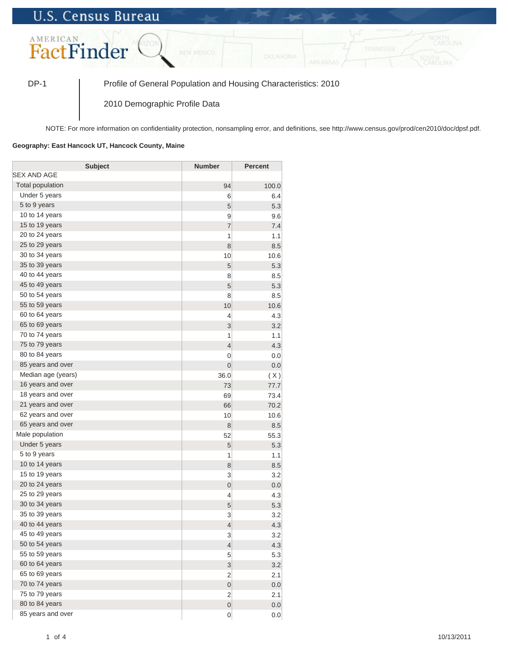## **U.S. Census Bureau**



DP-1 Profile of General Population and Housing Characteristics: 2010

2010 Demographic Profile Data

NOTE: For more information on confidentiality protection, nonsampling error, and definitions, see http://www.census.gov/prod/cen2010/doc/dpsf.pdf.

## **Geography: East Hancock UT, Hancock County, Maine**

| <b>Subject</b>          | <b>Number</b>            | <b>Percent</b> |
|-------------------------|--------------------------|----------------|
| SEX AND AGE             |                          |                |
| <b>Total population</b> | 94                       | 100.0          |
| Under 5 years           | 6                        | 6.4            |
| 5 to 9 years            | 5                        | 5.3            |
| 10 to 14 years          | 9                        | 9.6            |
| 15 to 19 years          | $\overline{7}$           | 7.4            |
| 20 to 24 years          | 1                        | 1.1            |
| 25 to 29 years          | 8                        | 8.5            |
| 30 to 34 years          | 10                       | 10.6           |
| 35 to 39 years          | 5                        | 5.3            |
| 40 to 44 years          | 8                        | 8.5            |
| 45 to 49 years          | 5                        | 5.3            |
| 50 to 54 years          | 8                        | 8.5            |
| 55 to 59 years          | 10                       | 10.6           |
| 60 to 64 years          | 4                        | 4.3            |
| 65 to 69 years          | 3                        | 3.2            |
| 70 to 74 years          | 1                        | 1.1            |
| 75 to 79 years          | $\overline{4}$           | 4.3            |
| 80 to 84 years          | 0                        | 0.0            |
| 85 years and over       | $\mathbf 0$              | 0.0            |
| Median age (years)      | 36.0                     | (X)            |
| 16 years and over       | 73                       | 77.7           |
| 18 years and over       | 69                       | 73.4           |
| 21 years and over       | 66                       | 70.2           |
| 62 years and over       | 10                       | 10.6           |
| 65 years and over       | 8                        | 8.5            |
| Male population         | 52                       | 55.3           |
| Under 5 years           | 5                        | 5.3            |
| 5 to 9 years            | 1                        | 1.1            |
| 10 to 14 years          | 8                        | 8.5            |
| 15 to 19 years          | 3                        | 3.2            |
| 20 to 24 years          | $\mathbf 0$              | 0.0            |
| 25 to 29 years          | 4                        | 4.3            |
| 30 to 34 years          | 5                        | 5.3            |
| 35 to 39 years          | 3                        | 3.2            |
| 40 to 44 years          | $\overline{4}$           | 4.3            |
| 45 to 49 years          | 3                        | 3.2            |
| 50 to 54 years          | $\overline{\mathcal{L}}$ | 4.3            |
| 55 to 59 years          | 5                        | 5.3            |
| 60 to 64 years          | 3                        | 3.2            |
| 65 to 69 years          | 2                        | 2.1            |
| 70 to 74 years          | $\boldsymbol{0}$         | 0.0            |
| 75 to 79 years          | 2                        | 2.1            |
| 80 to 84 years          | $\boldsymbol{0}$         | 0.0            |
| 85 years and over       | 0                        | 0.0            |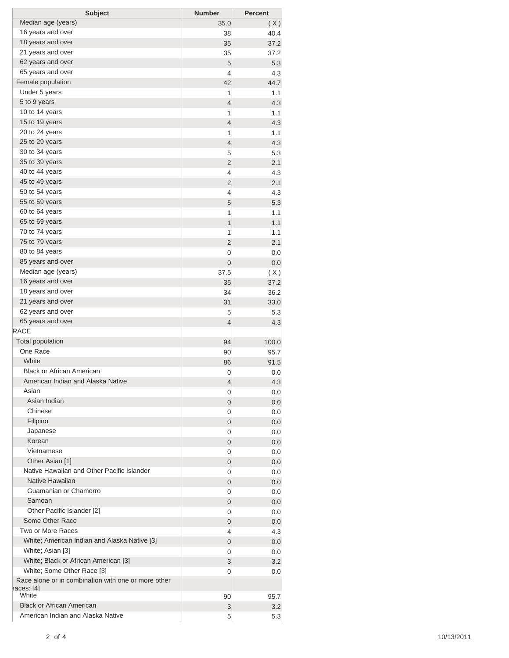| <b>Subject</b>                                      | <b>Number</b>  | <b>Percent</b> |
|-----------------------------------------------------|----------------|----------------|
| Median age (years)                                  | 35.0           | (X)            |
| 16 years and over                                   | 38             | 40.4           |
| 18 years and over                                   | 35             | 37.2           |
| 21 years and over                                   | 35             | 37.2           |
| 62 years and over                                   | 5              | 5.3            |
| 65 years and over                                   | 4              | 4.3            |
| Female population                                   | 42             | 44.7           |
| Under 5 years                                       | 1              | 1.1            |
| 5 to 9 years                                        | $\overline{4}$ | 4.3            |
| 10 to 14 years                                      | 1              | 1.1            |
| 15 to 19 years                                      | $\overline{4}$ | 4.3            |
| 20 to 24 years                                      | 1              | 1.1            |
| 25 to 29 years                                      | $\overline{4}$ | 4.3            |
| 30 to 34 years                                      | 5              | 5.3            |
| 35 to 39 years                                      | $\overline{2}$ | 2.1            |
| 40 to 44 years                                      | 4              | 4.3            |
| 45 to 49 years                                      | $\overline{2}$ | 2.1            |
| 50 to 54 years                                      | 4              | 4.3            |
| 55 to 59 years                                      | 5              | 5.3            |
| 60 to 64 years                                      | 1              | 1.1            |
| 65 to 69 years                                      | $\overline{1}$ | 1.1            |
| 70 to 74 years                                      | 1              | 1.1            |
| 75 to 79 years                                      | $\overline{2}$ | 2.1            |
| 80 to 84 years                                      | 0              | 0.0            |
| 85 years and over                                   | 0              | 0.0            |
| Median age (years)                                  | 37.5           | (X)            |
| 16 years and over                                   | 35             | 37.2           |
| 18 years and over                                   | 34             | 36.2           |
| 21 years and over                                   | 31             | 33.0           |
| 62 years and over                                   | 5              | 5.3            |
| 65 years and over                                   | $\overline{4}$ | 4.3            |
| RACE                                                |                |                |
| <b>Total population</b>                             | 94             | 100.0          |
| One Race                                            | 90             | 95.7           |
| White                                               | 86             | 91.5           |
| <b>Black or African American</b>                    | 0              | 0.0            |
| American Indian and Alaska Native                   | 4              | 4.3            |
| Asian                                               | 0              | 0.0            |
| Asian Indian                                        | 0              | 0.0            |
| Chinese                                             | 0              | 0.0            |
| Filipino                                            | 0              | 0.0            |
| Japanese                                            | 0              | 0.0            |
| Korean                                              | 0              | 0.0            |
| Vietnamese                                          | 0              | 0.0            |
| Other Asian [1]                                     | 0              | 0.0            |
| Native Hawaiian and Other Pacific Islander          | 0              | 0.0            |
| Native Hawaiian                                     | 0              | 0.0            |
| Guamanian or Chamorro                               | 0              | 0.0            |
| Samoan                                              | 0              | 0.0            |
| Other Pacific Islander [2]                          | 0              | 0.0            |
| Some Other Race                                     | 0              | 0.0            |
| Two or More Races                                   | 4              | 4.3            |
| White; American Indian and Alaska Native [3]        | 0              | 0.0            |
| White; Asian [3]                                    | 0              | 0.0            |
| White; Black or African American [3]                | 3              | 3.2            |
| White; Some Other Race [3]                          | 0              | 0.0            |
| Race alone or in combination with one or more other |                |                |
| races: [4]                                          |                |                |
| White                                               | 90             | 95.7           |
| <b>Black or African American</b>                    | 3              | 3.2            |
| American Indian and Alaska Native                   | 5 <sup>5</sup> | 5.3            |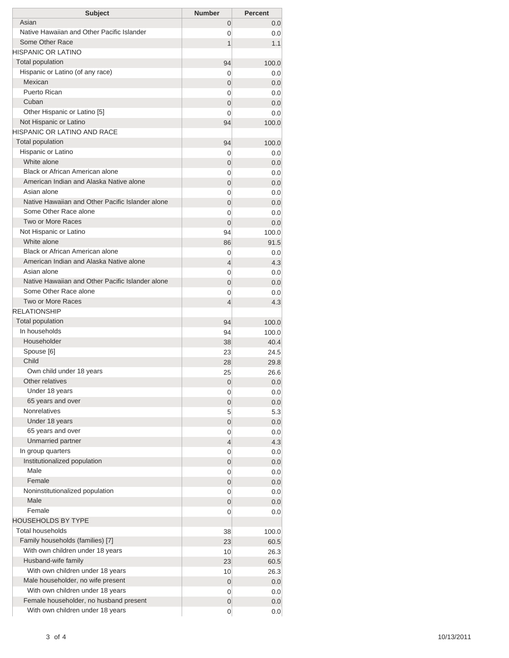| <b>Subject</b>                                                  | <b>Number</b>  | <b>Percent</b> |
|-----------------------------------------------------------------|----------------|----------------|
| Asian                                                           | 0              | 0.0            |
| Native Hawaiian and Other Pacific Islander                      | 0              | 0.0            |
| Some Other Race                                                 | 1              | 1.1            |
| <b>HISPANIC OR LATINO</b>                                       |                |                |
| <b>Total population</b>                                         | 94             | 100.0          |
| Hispanic or Latino (of any race)                                | 0              | 0.0            |
| Mexican                                                         | 0              | 0.0            |
| Puerto Rican                                                    | 0              | 0.0            |
| Cuban                                                           | 0              | 0.0            |
| Other Hispanic or Latino [5]                                    | 0              | 0.0            |
| Not Hispanic or Latino                                          | 94             | 100.0          |
| HISPANIC OR LATINO AND RACE                                     |                |                |
| <b>Total population</b>                                         | 94             | 100.0          |
| Hispanic or Latino                                              | 0              | 0.0            |
| White alone                                                     | 0              | 0.0            |
| Black or African American alone                                 | 0              | 0.0            |
| American Indian and Alaska Native alone                         | 0              | 0.0            |
| Asian alone                                                     | 0              | 0.0            |
| Native Hawaiian and Other Pacific Islander alone                | $\overline{0}$ | 0.0            |
| Some Other Race alone                                           | 0              | 0.0            |
| Two or More Races                                               | $\Omega$       | 0.0            |
| Not Hispanic or Latino                                          | 94             | 100.0          |
| White alone                                                     | 86             | 91.5           |
| Black or African American alone                                 | 0              | 0.0            |
| American Indian and Alaska Native alone                         | $\overline{4}$ | 4.3            |
| Asian alone<br>Native Hawaiian and Other Pacific Islander alone | 0              | 0.0            |
|                                                                 | $\overline{0}$ | 0.0            |
| Some Other Race alone<br><b>Two or More Races</b>               | 0              | 0.0            |
| <b>RELATIONSHIP</b>                                             | 4              | 4.3            |
| Total population                                                |                |                |
| In households                                                   | 94             | 100.0<br>100.0 |
| Householder                                                     | 94             | 40.4           |
| Spouse [6]                                                      | 38<br>23       | 24.5           |
| Child                                                           | 28             | 29.8           |
| Own child under 18 years                                        | 25             | 26.6           |
| Other relatives                                                 | $\mathbf 0$    | 0.0            |
| Under 18 years                                                  | 0              | 0.0            |
| 65 years and over                                               | 0              | 0.0            |
| <b>Nonrelatives</b>                                             | 5              | 5.3            |
| Under 18 years                                                  | 0              | 0.0            |
| 65 years and over                                               | 0              | 0.0            |
| Unmarried partner                                               | 4              | 4.3            |
| In group quarters                                               | 0              | 0.0            |
| Institutionalized population                                    | 0              | 0.0            |
| Male                                                            | 0              | 0.0            |
| Female                                                          | 0              | 0.0            |
| Noninstitutionalized population                                 | 0              | 0.0            |
| Male                                                            | 0              | 0.0            |
| Female                                                          | 0              | 0.0            |
| <b>HOUSEHOLDS BY TYPE</b>                                       |                |                |
| <b>Total households</b>                                         | 38             | 100.0          |
| Family households (families) [7]                                | 23             | 60.5           |
| With own children under 18 years                                | 10             | 26.3           |
| Husband-wife family                                             | 23             | 60.5           |
| With own children under 18 years                                | 10             | 26.3           |
| Male householder, no wife present                               | 0              | 0.0            |
| With own children under 18 years                                | 0              | 0.0            |
| Female householder, no husband present                          | 0              | 0.0            |
| With own children under 18 years                                | 0              | 0.0            |